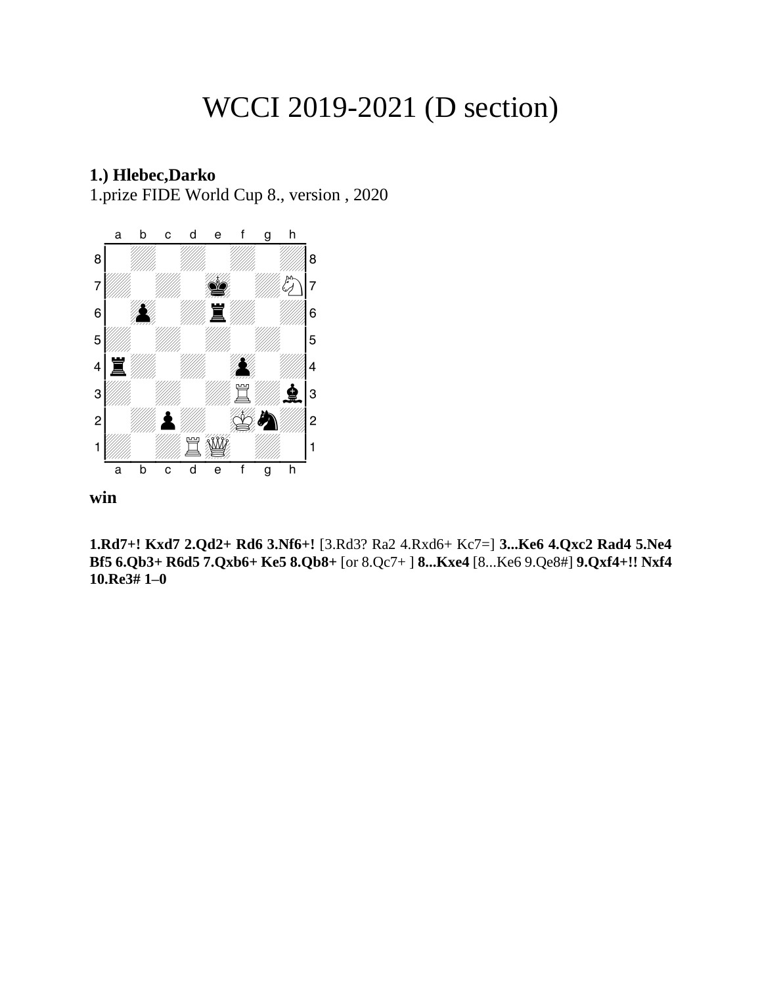# WCCI 2019-2021 (D section)

## **1.) Hlebec,Darko**

1.prize FIDE World Cup 8., version , 2020



**win**

**1.Rd7+! Kxd7 2.Qd2+ Rd6 3.Nf6+!** [3.Rd3? Ra2 4.Rxd6+ Kc7=] **3...Ke6 4.Qxc2 Rad4 5.Ne4 Bf5 6.Qb3+ R6d5 7.Qxb6+ Ke5 8.Qb8+** [or 8.Qc7+ ] **8...Kxe4** [8...Ke6 9.Qe8#] **9.Qxf4+!! Nxf4 10.Re3# 1–0**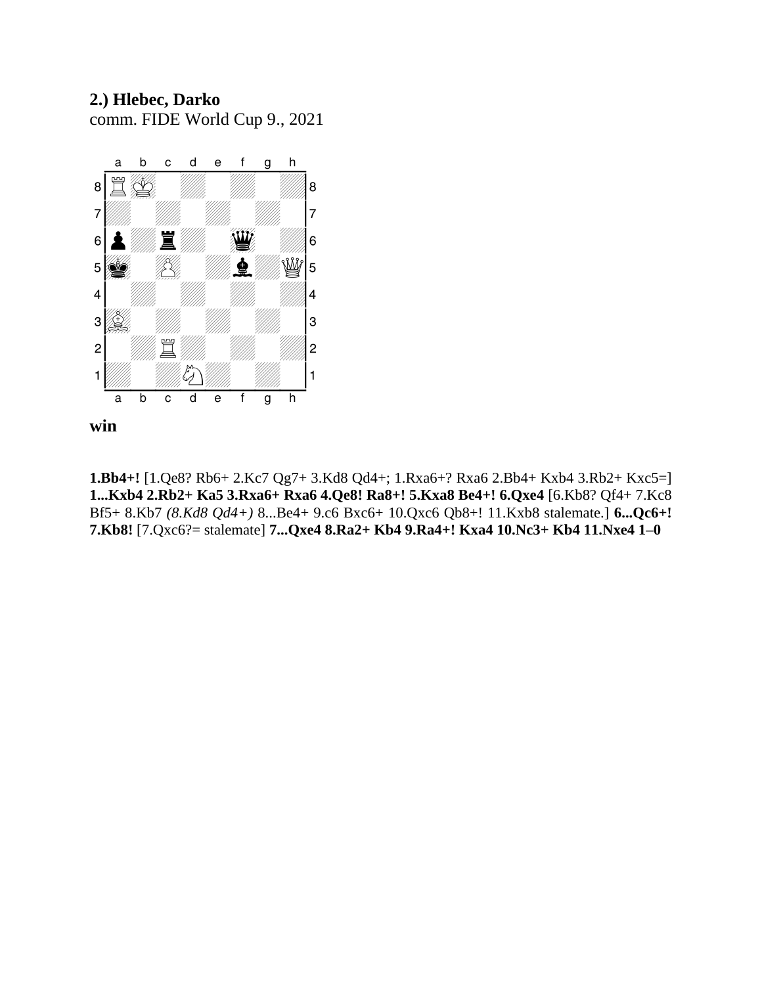## **2.) Hlebec, Darko** comm. FIDE World Cup 9., 2021



**win**

**1.Bb4+!** [1.Qe8? Rb6+ 2.Kc7 Qg7+ 3.Kd8 Qd4+; 1.Rxa6+? Rxa6 2.Bb4+ Kxb4 3.Rb2+ Kxc5=] **1...Kxb4 2.Rb2+ Ka5 3.Rxa6+ Rxa6 4.Qe8! Ra8+! 5.Kxa8 Be4+! 6.Qxe4** [6.Kb8? Qf4+ 7.Kc8 Bf5+ 8.Kb7 *(8.Kd8 Qd4+)* 8...Be4+ 9.c6 Bxc6+ 10.Qxc6 Qb8+! 11.Kxb8 stalemate.] **6...Qc6+! 7.Kb8!** [7.Qxc6?= stalemate] **7...Qxe4 8.Ra2+ Kb4 9.Ra4+! Kxa4 10.Nc3+ Kb4 11.Nxe4 1–0**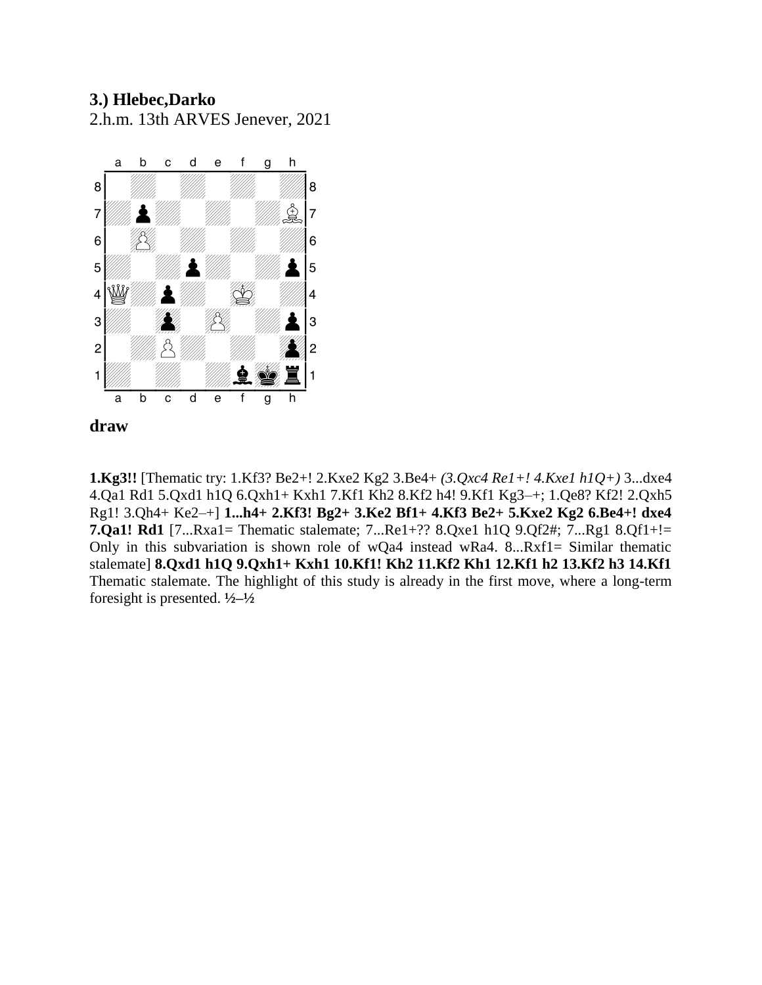# **3.) Hlebec,Darko**

2.h.m. 13th ARVES Jenever, 2021





**1.Kg3!!** [Thematic try: 1.Kf3? Be2+! 2.Kxe2 Kg2 3.Be4+ *(3.Qxc4 Re1+! 4.Kxe1 h1Q+)* 3...dxe4 4.Qa1 Rd1 5.Qxd1 h1Q 6.Qxh1+ Kxh1 7.Kf1 Kh2 8.Kf2 h4! 9.Kf1 Kg3–+; 1.Qe8? Kf2! 2.Qxh5 Rg1! 3.Qh4+ Ke2–+] **1...h4+ 2.Kf3! Bg2+ 3.Ke2 Bf1+ 4.Kf3 Be2+ 5.Kxe2 Kg2 6.Be4+! dxe4 7.Qa1! Rd1** [7...Rxa1= Thematic stalemate; 7...Re1+?? 8.Qxe1 h1Q 9.Qf2#; 7...Rg1 8.Qf1+!= Only in this subvariation is shown role of wQa4 instead wRa4. 8...Rxf1= Similar thematic stalemate] **8.Qxd1 h1Q 9.Qxh1+ Kxh1 10.Kf1! Kh2 11.Kf2 Kh1 12.Kf1 h2 13.Kf2 h3 14.Kf1**  Thematic stalemate. The highlight of this study is already in the first move, where a long-term foresight is presented. **½–½**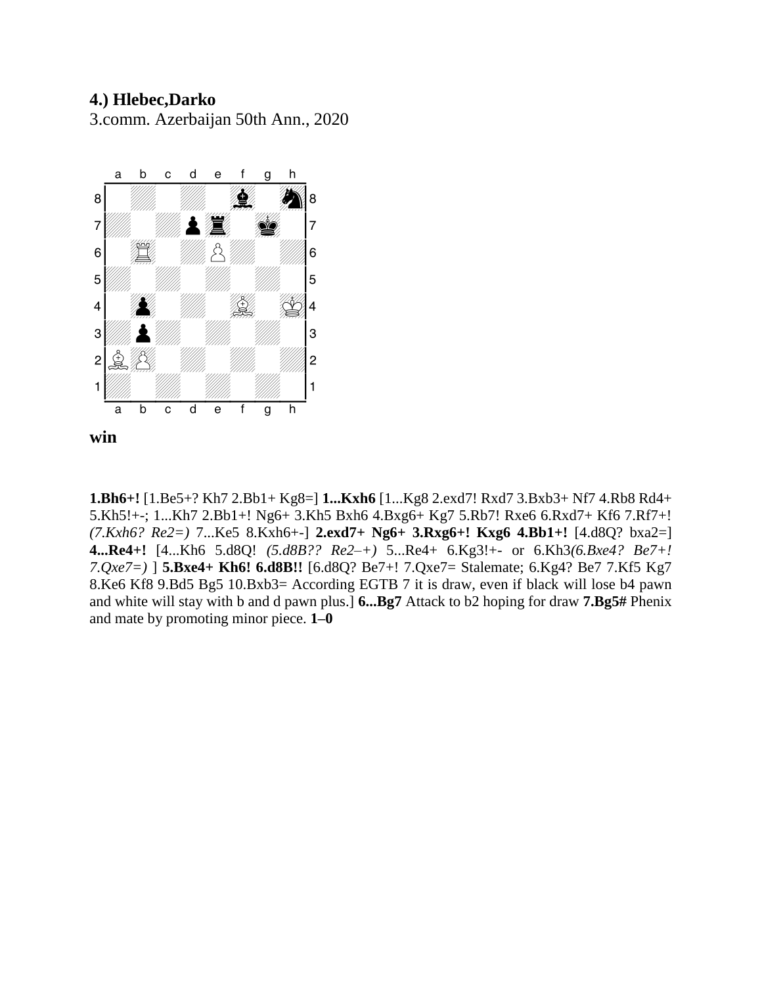# **4.) Hlebec,Darko**

3.comm. Azerbaijan 50th Ann., 2020



**1.Bh6+!** [1.Be5+? Kh7 2.Bb1+ Kg8=] **1...Kxh6** [1...Kg8 2.exd7! Rxd7 3.Bxb3+ Nf7 4.Rb8 Rd4+ 5.Kh5!+-; 1...Kh7 2.Bb1+! Ng6+ 3.Kh5 Bxh6 4.Bxg6+ Kg7 5.Rb7! Rxe6 6.Rxd7+ Kf6 7.Rf7+! *(7.Kxh6? Re2=)* 7...Ke5 8.Kxh6+-] **2.exd7+ Ng6+ 3.Rxg6+! Kxg6 4.Bb1+!** [4.d8Q? bxa2=] **4...Re4+!** [4...Kh6 5.d8Q! *(5.d8B?? Re2–+)* 5...Re4+ 6.Kg3!+- or 6.Kh3*(6.Bxe4? Be7+! 7.Qxe7=)* ] **5.Bxe4+ Kh6! 6.d8B!!** [6.d8Q? Be7+! 7.Qxe7= Stalemate; 6.Kg4? Be7 7.Kf5 Kg7 8.Ke6 Kf8 9.Bd5 Bg5 10.Bxb3= According EGTB 7 it is draw, even if black will lose b4 pawn and white will stay with b and d pawn plus.] **6...Bg7** Attack to b2 hoping for draw **7.Bg5#** Phenix and mate by promoting minor piece. **1–0**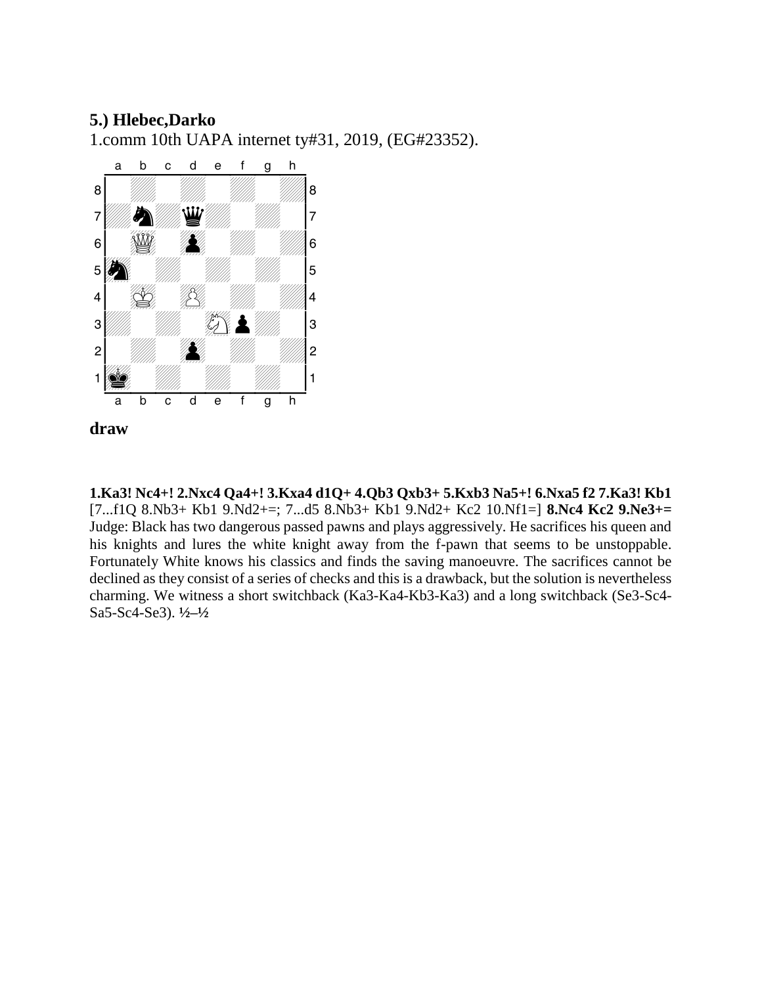#### **5.) Hlebec,Darko**

1.comm 10th UAPA internet ty#31, 2019, (EG#23352).



**1.Ka3! Nc4+! 2.Nxc4 Qa4+! 3.Kxa4 d1Q+ 4.Qb3 Qxb3+ 5.Kxb3 Na5+! 6.Nxa5 f2 7.Ka3! Kb1**  [7...f1Q 8.Nb3+ Kb1 9.Nd2+=; 7...d5 8.Nb3+ Kb1 9.Nd2+ Kc2 10.Nf1=] **8.Nc4 Kc2 9.Ne3+=**  Judge: Black has two dangerous passed pawns and plays aggressively. He sacrifices his queen and his knights and lures the white knight away from the f-pawn that seems to be unstoppable. Fortunately White knows his classics and finds the saving manoeuvre. The sacrifices cannot be declined as they consist of a series of checks and this is a drawback, but the solution is nevertheless charming. We witness a short switchback (Ka3-Ka4-Kb3-Ka3) and a long switchback (Se3-Sc4- Sa5-Sc4-Se3). **½–½**